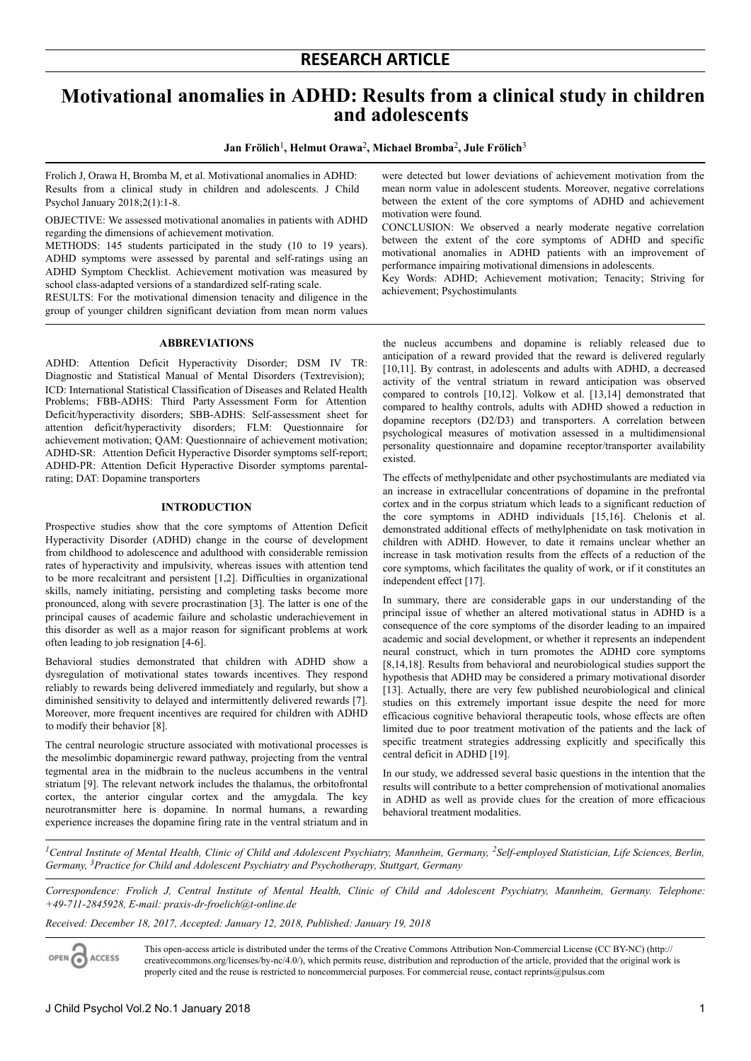# **anomalies in ADHD: Results from a clinical study in children Motivational and adolescents**

#### **Jan Frölich**<sup>1</sup> **, Helmut Orawa**<sup>2</sup> **, Michael Bromba**<sup>2</sup> **, Jule Frölich**<sup>3</sup>

Frolich J, Orawa H, Bromba M, et al. Motivational anomalies in ADHD: Results from a clinical study in children and adolescents. J Child Psychol January 2018;2(1):1-8.

OBJECTIVE: We assessed motivational anomalies in patients with ADHD regarding the dimensions of achievement motivation.

METHODS: 145 students participated in the study (10 to 19 years). ADHD symptoms were assessed by parental and self-ratings using an ADHD Symptom Checklist. Achievement motivation was measured by school class-adapted versions of a standardized self-rating scale.

RESULTS: For the motivational dimension tenacity and diligence in the group of younger children significant deviation from mean norm values

#### **ABBREVIATIONS**

ADHD: Attention Deficit Hyperactivity Disorder; DSM IV TR: Diagnostic and Statistical Manual of Mental Disorders (Textrevision); ICD: International Statistical Classification of Diseases and Related Health Problems; FBB-ADHS: Third Party Assessment Form for Attention Deficit/hyperactivity disorders; SBB-ADHS: Self-assessment sheet for attention deficit/hyperactivity disorders; FLM: Questionnaire for achievement motivation; QAM: Questionnaire of achievement motivation; ADHD-SR: Attention Deficit Hyperactive Disorder symptoms self-report; ADHD-PR: Attention Deficit Hyperactive Disorder symptoms parentalrating; DAT: Dopamine transporters

#### **INTRODUCTION**

Prospective studies show that the core symptoms of Attention Deficit Hyperactivity Disorder (ADHD) change in the course of development from childhood to adolescence and adulthood with considerable remission rates of hyperactivity and impulsivity, whereas issues with attention tend to be more recalcitrant and persistent [1,2]. Difficulties in organizational skills, namely initiating, persisting and completing tasks become more pronounced, along with severe procrastination [3]. The latter is one of the principal causes of academic failure and scholastic underachievement in this disorder as well as a major reason for significant problems at work often leading to job resignation [4-6].

Behavioral studies demonstrated that children with ADHD show a dysregulation of motivational states towards incentives. They respond reliably to rewards being delivered immediately and regularly, but show a diminished sensitivity to delayed and intermittently delivered rewards [7]. Moreover, more frequent incentives are required for children with ADHD to modify their behavior [8].

The central neurologic structure associated with motivational processes is the mesolimbic dopaminergic reward pathway, projecting from the ventral tegmental area in the midbrain to the nucleus accumbens in the ventral striatum [9]. The relevant network includes the thalamus, the orbitofrontal cortex, the anterior cingular cortex and the amygdala. The key neurotransmitter here is dopamine. In normal humans, a rewarding experience increases the dopamine firing rate in the ventral striatum and in

were detected but lower deviations of achievement motivation from the mean norm value in adolescent students. Moreover, negative correlations between the extent of the core symptoms of ADHD and achievement motivation were found.

CONCLUSION: We observed a nearly moderate negative correlation between the extent of the core symptoms of ADHD and specific motivational anomalies in ADHD patients with an improvement of performance impairing motivational dimensions in adolescents.

Key Words: ADHD; Achievement motivation; Tenacity; Striving for achievement; Psychostimulants

the nucleus accumbens and dopamine is reliably released due to anticipation of a reward provided that the reward is delivered regularly [10,11]. By contrast, in adolescents and adults with ADHD, a decreased activity of the ventral striatum in reward anticipation was observed compared to controls [10,12]. Volkow et al. [13,14] demonstrated that compared to healthy controls, adults with ADHD showed a reduction in dopamine receptors (D2/D3) and transporters. A correlation between psychological measures of motivation assessed in a multidimensional personality questionnaire and dopamine receptor/transporter availability existed.

The effects of methylpenidate and other psychostimulants are mediated via an increase in extracellular concentrations of dopamine in the prefrontal cortex and in the corpus striatum which leads to a significant reduction of the core symptoms in ADHD individuals [15,16]. Chelonis et al. demonstrated additional effects of methylphenidate on task motivation in children with ADHD. However, to date it remains unclear whether an increase in task motivation results from the effects of a reduction of the core symptoms, which facilitates the quality of work, or if it constitutes an independent effect [17].

In summary, there are considerable gaps in our understanding of the principal issue of whether an altered motivational status in ADHD is a consequence of the core symptoms of the disorder leading to an impaired academic and social development, or whether it represents an independent neural construct, which in turn promotes the ADHD core symptoms [8,14,18]. Results from behavioral and neurobiological studies support the hypothesis that ADHD may be considered a primary motivational disorder [13]. Actually, there are very few published neurobiological and clinical studies on this extremely important issue despite the need for more efficacious cognitive behavioral therapeutic tools, whose effects are often limited due to poor treatment motivation of the patients and the lack of specific treatment strategies addressing explicitly and specifically this central deficit in ADHD [19].

In our study, we addressed several basic questions in the intention that the results will contribute to a better comprehension of motivational anomalies in ADHD as well as provide clues for the creation of more efficacious behavioral treatment modalities.

*<sup>1</sup>Central Institute of Mental Health, Clinic of Child and Adolescent Psychiatry, Mannheim, Germany, 2Self-employed Statistician, Life Sciences, Berlin, Germany, 3Practice for Child and Adolescent Psychiatry and Psychotherapy, Stuttgart, Germany*

*+49-711-2845928, E-mail: praxis-dr-froelich@t-online.de Correspondence: Frolich J, Central Institute of Mental Health, Clinic of Child and Adolescent Psychiatry, Mannheim, Germany. Telephone:*

*Received: December 18, 2017, Accepted: January 12, 2018, Published: January 19, 2018*

OPEN CO ACCESS

This open-access article is distributed under the terms of the Creative Commons Attribution Non-Commercial License (CC BY-NC) (http:// creativecommons.org/licenses/by-nc/4.0/), which permits reuse, distribution and reproduction of the article, provided that the original work is properly cited and the reuse is restricted to noncommercial purposes. For commercial reuse, contact reprints@pulsus.com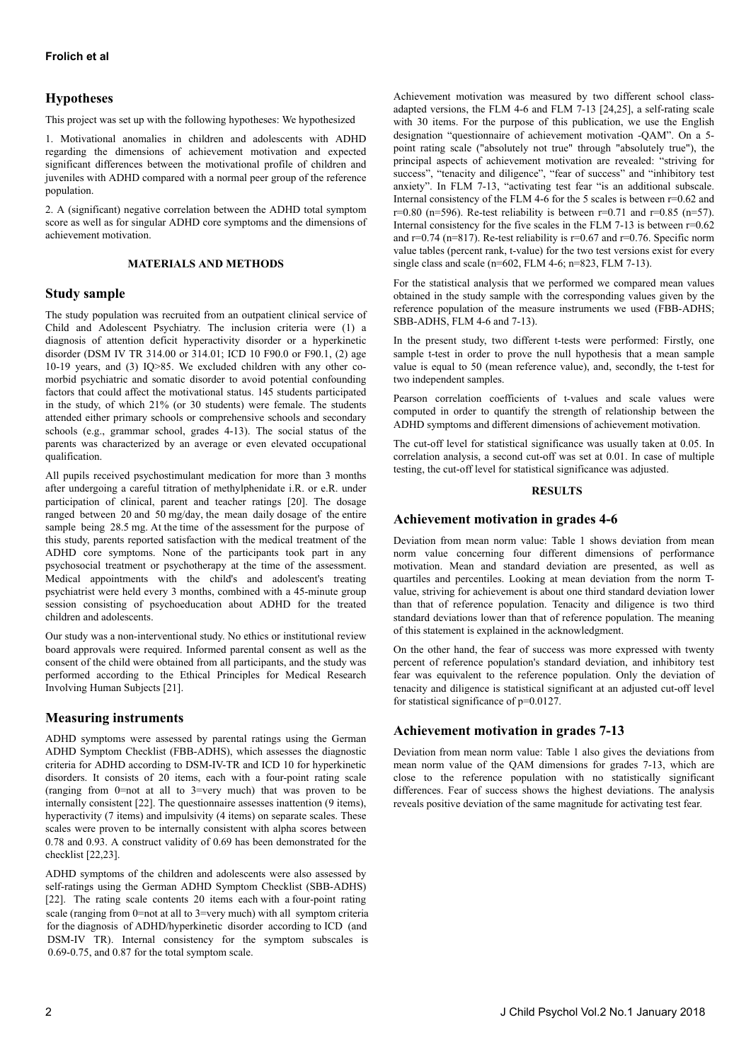## **Hypotheses**

This project was set up with the following hypotheses: We hypothesized

1. Motivational anomalies in children and adolescents with ADHD regarding the dimensions of achievement motivation and expected significant differences between the motivational profile of children and juveniles with ADHD compared with a normal peer group of the reference population.

2. A (significant) negative correlation between the ADHD total symptom score as well as for singular ADHD core symptoms and the dimensions of achievement motivation.

### **MATERIALS AND METHODS**

### **Study sample**

The study population was recruited from an outpatient clinical service of Child and Adolescent Psychiatry. The inclusion criteria were (1) a diagnosis of attention deficit hyperactivity disorder or a hyperkinetic disorder (DSM IV TR 314.00 or 314.01; ICD 10 F90.0 or F90.1, (2) age 10-19 years, and (3) IQ>85. We excluded children with any other comorbid psychiatric and somatic disorder to avoid potential confounding factors that could affect the motivational status. 145 students participated in the study, of which 21% (or 30 students) were female. The students attended either primary schools or comprehensive schools and secondary schools (e.g., grammar school, grades 4-13). The social status of the parents was characterized by an average or even elevated occupational qualification.

All pupils received psychostimulant medication for more than 3 months after undergoing a careful titration of methylphenidate i.R. or e.R. under participation of clinical, parent and teacher ratings [20]. The dosage ranged between 20 and 50 mg/day, the mean daily dosage of the entire sample being 28.5 mg. At the time of the assessment for the purpose of this study, parents reported satisfaction with the medical treatment of the ADHD core symptoms. None of the participants took part in any psychosocial treatment or psychotherapy at the time of the assessment. Medical appointments with the child's and adolescent's treating psychiatrist were held every 3 months, combined with a 45-minute group session consisting of psychoeducation about ADHD for the treated children and adolescents.

Our study was a non-interventional study. No ethics or institutional review board approvals were required. Informed parental consent as well as the consent of the child were obtained from all participants, and the study was performed according to the Ethical Principles for Medical Research Involving Human Subjects [21].

## **Measuring instruments**

ADHD symptoms were assessed by parental ratings using the German ADHD Symptom Checklist (FBB-ADHS), which assesses the diagnostic criteria for ADHD according to DSM-IV-TR and ICD 10 for hyperkinetic disorders. It consists of 20 items, each with a four-point rating scale (ranging from 0=not at all to 3=very much) that was proven to be internally consistent [22]. The questionnaire assesses inattention (9 items), hyperactivity (7 items) and impulsivity (4 items) on separate scales. These scales were proven to be internally consistent with alpha scores between 0.78 and 0.93. A construct validity of 0.69 has been demonstrated for the checklist [22,23].

ADHD symptoms of the children and adolescents were also assessed by self-ratings using the German ADHD Symptom Checklist (SBB-ADHS) [22]. The rating scale contents 20 items each with a four-point rating scale (ranging from 0=not at all to 3=very much) with all symptom criteria for the diagnosis of ADHD/hyperkinetic disorder according to ICD (and DSM-IV TR). Internal consistency for the symptom subscales is 0.69-0.75, and 0.87 for the total symptom scale.

Achievement motivation was measured by two different school classadapted versions, the FLM 4-6 and FLM 7-13 [24,25], a self-rating scale with 30 items. For the purpose of this publication, we use the English designation "questionnaire of achievement motivation -QAM". On a 5 point rating scale ("absolutely not true" through "absolutely true"), the principal aspects of achievement motivation are revealed: "striving for success", "tenacity and diligence", "fear of success" and "inhibitory test anxiety". In FLM 7-13, "activating test fear "is an additional subscale. Internal consistency of the FLM 4-6 for the 5 scales is between  $r=0.62$  and r=0.80 (n=596). Re-test reliability is between r=0.71 and r=0.85 (n=57). Internal consistency for the five scales in the FLM 7-13 is between  $r=0.62$ and  $r=0.74$  (n=817). Re-test reliability is  $r=0.67$  and  $r=0.76$ . Specific norm value tables (percent rank, t-value) for the two test versions exist for every single class and scale (n=602, FLM 4-6; n=823, FLM 7-13).

For the statistical analysis that we performed we compared mean values obtained in the study sample with the corresponding values given by the reference population of the measure instruments we used (FBB-ADHS; SBB-ADHS, FLM 4-6 and 7-13).

In the present study, two different t-tests were performed: Firstly, one sample t-test in order to prove the null hypothesis that a mean sample value is equal to 50 (mean reference value), and, secondly, the t-test for two independent samples.

Pearson correlation coefficients of t-values and scale values were computed in order to quantify the strength of relationship between the ADHD symptoms and different dimensions of achievement motivation.

The cut-off level for statistical significance was usually taken at 0.05. In correlation analysis, a second cut-off was set at 0.01. In case of multiple testing, the cut-off level for statistical significance was adjusted.

#### **RESULTS**

### **Achievement motivation in grades 4-6**

Deviation from mean norm value: Table 1 shows deviation from mean norm value concerning four different dimensions of performance motivation. Mean and standard deviation are presented, as well as quartiles and percentiles. Looking at mean deviation from the norm Tvalue, striving for achievement is about one third standard deviation lower than that of reference population. Tenacity and diligence is two third standard deviations lower than that of reference population. The meaning of this statement is explained in the acknowledgment.

On the other hand, the fear of success was more expressed with twenty percent of reference population's standard deviation, and inhibitory test fear was equivalent to the reference population. Only the deviation of tenacity and diligence is statistical significant at an adjusted cut-off level for statistical significance of p=0.0127.

## **Achievement motivation in grades 7-13**

Deviation from mean norm value: Table 1 also gives the deviations from mean norm value of the QAM dimensions for grades 7-13, which are close to the reference population with no statistically significant differences. Fear of success shows the highest deviations. The analysis reveals positive deviation of the same magnitude for activating test fear.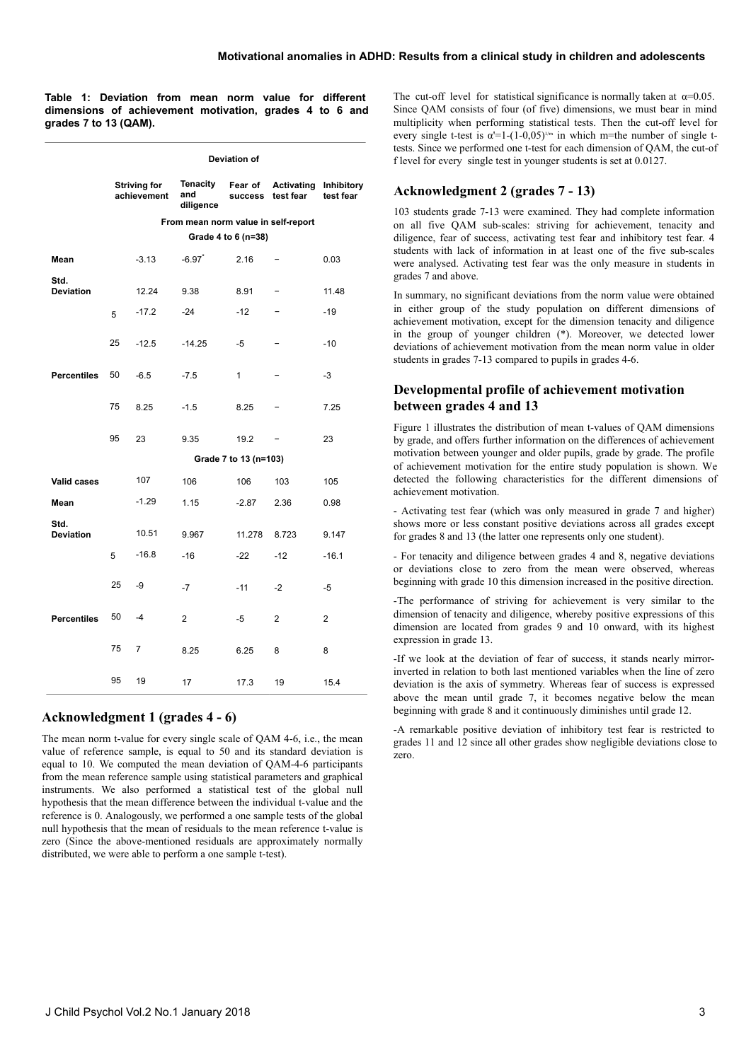**Table 1: Deviation from mean norm value for different dimensions of achievement motivation, grades 4 to 6 and grades 7 to 13 (QAM).**

|                          | Deviation of          |                                    |                                     |                           |                                |                         |
|--------------------------|-----------------------|------------------------------------|-------------------------------------|---------------------------|--------------------------------|-------------------------|
|                          |                       | <b>Striving for</b><br>achievement | <b>Tenacity</b><br>and<br>diligence | Fear of<br><b>success</b> | <b>Activating</b><br>test fear | Inhibitory<br>test fear |
|                          |                       |                                    | From mean norm value in self-report |                           |                                |                         |
|                          | Grade 4 to 6 (n=38)   |                                    |                                     |                           |                                |                         |
| Mean                     |                       | $-3.13$                            | $-6.97$                             | 2.16                      | -                              | 0.03                    |
| Std.<br><b>Deviation</b> |                       | 12.24                              | 9.38                                | 8.91                      |                                | 11.48                   |
|                          | 5                     | $-17.2$                            | $-24$                               | $-12$                     |                                | $-19$                   |
|                          | 25                    | $-12.5$                            | $-14.25$                            | -5                        |                                | $-10$                   |
| <b>Percentiles</b>       | 50                    | $-6.5$                             | $-7.5$                              | $\mathbf{1}$              |                                | -3                      |
|                          | 75                    | 8.25                               | $-1.5$                              | 8.25                      |                                | 7.25                    |
|                          | 95                    | 23                                 | 9.35                                | 19.2                      | $\qquad \qquad -$              | 23                      |
|                          | Grade 7 to 13 (n=103) |                                    |                                     |                           |                                |                         |
| <b>Valid cases</b>       |                       | 107                                | 106                                 | 106                       | 103                            | 105                     |
| Mean                     |                       | $-1.29$                            | 1.15                                | $-2.87$                   | 2.36                           | 0.98                    |
| Std.<br><b>Deviation</b> |                       | 10.51                              | 9.967                               | 11.278                    | 8.723                          | 9.147                   |
|                          | 5                     | $-16.8$                            | $-16$                               | $-22$                     | $-12$                          | $-16.1$                 |
|                          | 25                    | -9                                 | -7                                  | $-11$                     | $-2$                           | -5                      |
| <b>Percentiles</b>       | 50                    | $-4$                               | $\overline{2}$                      | -5                        | 2                              | 2                       |
|                          | 75                    | $\overline{7}$                     | 8.25                                | 6.25                      | 8                              | 8                       |
|                          | 95                    | 19                                 | 17                                  | 17.3                      | 19                             | 15.4                    |

### **Acknowledgment 1 (grades 4 - 6)**

The mean norm t-value for every single scale of QAM 4-6, i.e., the mean value of reference sample, is equal to 50 and its standard deviation is equal to 10. We computed the mean deviation of QAM-4-6 participants from the mean reference sample using statistical parameters and graphical instruments. We also performed a statistical test of the global null hypothesis that the mean difference between the individual t-value and the reference is 0. Analogously, we performed a one sample tests of the global null hypothesis that the mean of residuals to the mean reference t-value is zero (Since the above-mentioned residuals are approximately normally distributed, we were able to perform a one sample t-test).

The cut-off level for statistical significance is normally taken at  $\alpha$ =0.05. Since QAM consists of four (of five) dimensions, we must bear in mind multiplicity when performing statistical tests. Then the cut-off level for every single t-test is  $\alpha'=1-(1-0.05)^{1/m}$  in which m=the number of single ttests. Since we performed one t-test for each dimension of QAM, the cut-of f level for every single test in younger students is set at 0.0127.

### **Acknowledgment 2 (grades 7 - 13)**

103 students grade 7-13 were examined. They had complete information on all five QAM sub-scales: striving for achievement, tenacity and diligence, fear of success, activating test fear and inhibitory test fear. 4 students with lack of information in at least one of the five sub-scales were analysed. Activating test fear was the only measure in students in grades 7 and above.

In summary, no significant deviations from the norm value were obtained in either group of the study population on different dimensions of achievement motivation, except for the dimension tenacity and diligence in the group of younger children (\*). Moreover, we detected lower deviations of achievement motivation from the mean norm value in older students in grades 7-13 compared to pupils in grades 4-6.

## **Developmental profile of achievement motivation between grades 4 and 13**

Figure 1 illustrates the distribution of mean t-values of QAM dimensions by grade, and offers further information on the differences of achievement motivation between younger and older pupils, grade by grade. The profile of achievement motivation for the entire study population is shown. We detected the following characteristics for the different dimensions of achievement motivation.

- Activating test fear (which was only measured in grade 7 and higher) shows more or less constant positive deviations across all grades except for grades 8 and 13 (the latter one represents only one student).

- For tenacity and diligence between grades 4 and 8, negative deviations or deviations close to zero from the mean were observed, whereas beginning with grade 10 this dimension increased in the positive direction.

-The performance of striving for achievement is very similar to the dimension of tenacity and diligence, whereby positive expressions of this dimension are located from grades 9 and 10 onward, with its highest expression in grade 13.

-If we look at the deviation of fear of success, it stands nearly mirrorinverted in relation to both last mentioned variables when the line of zero deviation is the axis of symmetry. Whereas fear of success is expressed above the mean until grade 7, it becomes negative below the mean beginning with grade 8 and it continuously diminishes until grade 12.

-A remarkable positive deviation of inhibitory test fear is restricted to grades 11 and 12 since all other grades show negligible deviations close to zero.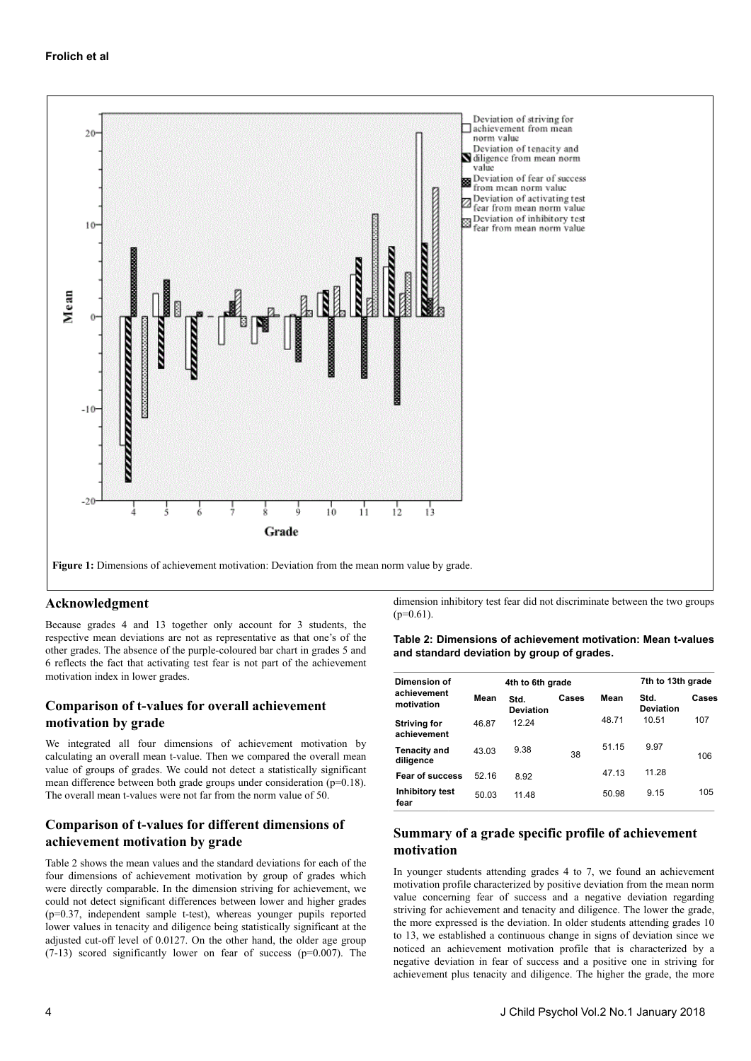

### **Acknowledgment**

Because grades 4 and 13 together only account for 3 students, the respective mean deviations are not as representative as that one's of the other grades. The absence of the purple-coloured bar chart in grades 5 and 6 reflects the fact that activating test fear is not part of the achievement motivation index in lower grades.

## **Comparison of t-values for overall achievement motivation by grade**

We integrated all four dimensions of achievement motivation by calculating an overall mean t-value. Then we compared the overall mean value of groups of grades. We could not detect a statistically significant mean difference between both grade groups under consideration (p=0.18). The overall mean t-values were not far from the norm value of 50.

## **Comparison of t-values for different dimensions of achievement motivation by grade**

Table 2 shows the mean values and the standard deviations for each of the four dimensions of achievement motivation by group of grades which were directly comparable. In the dimension striving for achievement, we could not detect significant differences between lower and higher grades (p=0.37, independent sample t-test), whereas younger pupils reported lower values in tenacity and diligence being statistically significant at the adjusted cut-off level of 0.0127. On the other hand, the older age group (7-13) scored significantly lower on fear of success (p=0.007). The dimension inhibitory test fear did not discriminate between the two groups  $(p=0.61)$ .

**Table 2: Dimensions of achievement motivation: Mean t-values**

| and standard deviation by group of grades. |       |                          |       |       |                          |       |
|--------------------------------------------|-------|--------------------------|-------|-------|--------------------------|-------|
| Dimension of                               |       | 4th to 6th grade         |       |       | 7th to 13th grade        |       |
| achievement<br>motivation                  | Mean  | Std.<br><b>Deviation</b> | Cases | Mean  | Std.<br><b>Deviation</b> | Cases |
| <b>Striving for</b><br>achievement         | 46.87 | 12.24                    |       | 48.71 | 10.51                    | 107   |
| <b>Tenacity and</b><br>diligence           | 43.03 | 9.38                     | 38    | 51.15 | 9.97                     | 106   |
| <b>Fear of success</b>                     | 52.16 | 8.92                     |       | 47.13 | 11.28                    |       |
| Inhibitory test<br>fear                    | 50.03 | 11.48                    |       | 50.98 | 9.15                     | 105   |

## **Summary of a grade specific profile of achievement motivation**

In younger students attending grades 4 to 7, we found an achievement motivation profile characterized by positive deviation from the mean norm value concerning fear of success and a negative deviation regarding striving for achievement and tenacity and diligence. The lower the grade, the more expressed is the deviation. In older students attending grades 10 to 13, we established a continuous change in signs of deviation since we noticed an achievement motivation profile that is characterized by a negative deviation in fear of success and a positive one in striving for achievement plus tenacity and diligence. The higher the grade, the more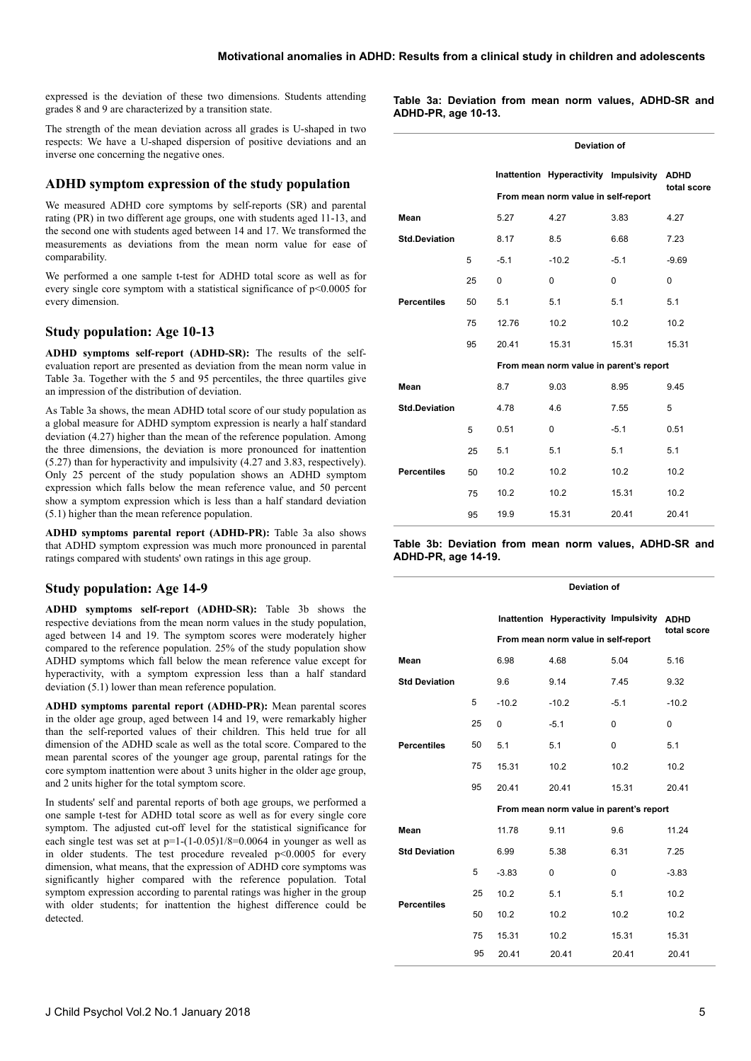expressed is the deviation of these two dimensions. Students attending grades 8 and 9 are characterized by a transition state.

The strength of the mean deviation across all grades is U-shaped in two respects: We have a U-shaped dispersion of positive deviations and an inverse one concerning the negative ones.

### **ADHD symptom expression of the study population**

We measured ADHD core symptoms by self-reports (SR) and parental rating (PR) in two different age groups, one with students aged 11-13, and the second one with students aged between 14 and 17. We transformed the measurements as deviations from the mean norm value for ease of comparability.

We performed a one sample t-test for ADHD total score as well as for every single core symptom with a statistical significance of p<0.0005 for every dimension.

#### **Study population: Age 10-13**

**ADHD symptoms self-report (ADHD-SR):** The results of the selfevaluation report are presented as deviation from the mean norm value in Table 3a. Together with the 5 and 95 percentiles, the three quartiles give an impression of the distribution of deviation.

As Table 3a shows, the mean ADHD total score of our study population as a global measure for ADHD symptom expression is nearly a half standard deviation (4.27) higher than the mean of the reference population. Among the three dimensions, the deviation is more pronounced for inattention (5.27) than for hyperactivity and impulsivity (4.27 and 3.83, respectively). Only 25 percent of the study population shows an ADHD symptom expression which falls below the mean reference value, and 50 percent show a symptom expression which is less than a half standard deviation (5.1) higher than the mean reference population.

**ADHD symptoms parental report (ADHD-PR):** Table 3a also shows that ADHD symptom expression was much more pronounced in parental ratings compared with students' own ratings in this age group.

#### **Study population: Age 14-9**

**ADHD symptoms self-report (ADHD-SR):** Table 3b shows the respective deviations from the mean norm values in the study population, aged between 14 and 19. The symptom scores were moderately higher compared to the reference population. 25% of the study population show ADHD symptoms which fall below the mean reference value except for hyperactivity, with a symptom expression less than a half standard deviation (5.1) lower than mean reference population.

**ADHD symptoms parental report (ADHD-PR):** Mean parental scores in the older age group, aged between 14 and 19, were remarkably higher than the self-reported values of their children. This held true for all dimension of the ADHD scale as well as the total score. Compared to the mean parental scores of the younger age group, parental ratings for the core symptom inattention were about 3 units higher in the older age group, and 2 units higher for the total symptom score.

In students' self and parental reports of both age groups, we performed a one sample t-test for ADHD total score as well as for every single core symptom. The adjusted cut-off level for the statistical significance for each single test was set at  $p=1-(1-0.05)1/8=0.0064$  in younger as well as in older students. The test procedure revealed p<0.0005 for every dimension, what means, that the expression of ADHD core symptoms was significantly higher compared with the reference population. Total symptom expression according to parental ratings was higher in the group with older students; for inattention the highest difference could be detected.

**Table 3a: Deviation from mean norm values, ADHD-SR and ADHD-PR, age 10-13.**

|                      |    | <b>Deviation of</b> |                                         |          |                            |
|----------------------|----|---------------------|-----------------------------------------|----------|----------------------------|
|                      |    |                     | Inattention Hyperactivity Impulsivity   |          | <b>ADHD</b><br>total score |
|                      |    |                     | From mean norm value in self-report     |          |                            |
| <b>Mean</b>          |    | 5.27                | 4.27                                    | 3.83     | 4.27                       |
| <b>Std.Deviation</b> |    | 8.17                | 8.5                                     | 6.68     | 7.23                       |
|                      | 5  | $-5.1$              | $-10.2$                                 | $-5.1$   | $-9.69$                    |
|                      | 25 | 0                   | $\Omega$                                | $\Omega$ | $\Omega$                   |
| <b>Percentiles</b>   | 50 | 5.1                 | 5.1                                     | 5.1      | 5.1                        |
|                      | 75 | 12.76               | 10.2                                    | 10.2     | 10.2                       |
|                      | 95 | 20.41               | 15.31                                   | 15.31    | 15.31                      |
|                      |    |                     | From mean norm value in parent's report |          |                            |
| <b>Mean</b>          |    | 8.7                 | 9.03                                    | 8.95     | 9.45                       |
| <b>Std.Deviation</b> |    | 4.78                | 4.6                                     | 7.55     | 5                          |
|                      | 5  | 0.51                | $\Omega$                                | $-5.1$   | 0.51                       |
|                      | 25 | 5.1                 | 5.1                                     | 5.1      | 5.1                        |
| <b>Percentiles</b>   | 50 | 10.2                | 10.2                                    | 10.2     | 10.2                       |
|                      | 75 | 10.2                | 10.2                                    | 15.31    | 10.2                       |
|                      | 95 | 19.9                | 15.31                                   | 20.41    | 20.41                      |

**Table 3b: Deviation from mean norm values, ADHD-SR and ADHD-PR, age 14-19.**

|                      |    | <b>Deviation of</b> |                                         |        |                            |
|----------------------|----|---------------------|-----------------------------------------|--------|----------------------------|
|                      |    |                     | Inattention Hyperactivity Impulsivity   |        | <b>ADHD</b><br>total score |
|                      |    |                     | From mean norm value in self-report     |        |                            |
| Mean                 |    | 6.98                | 4.68                                    | 5.04   | 5.16                       |
| <b>Std Deviation</b> |    | 9.6                 | 9.14                                    | 7.45   | 9.32                       |
|                      | 5  | $-10.2$             | $-10.2$                                 | $-5.1$ | $-10.2$                    |
|                      | 25 | 0                   | $-5.1$                                  | 0      | 0                          |
| <b>Percentiles</b>   | 50 | 5.1                 | 5.1                                     | 0      | 5.1                        |
|                      | 75 | 15.31               | 10.2                                    | 10.2   | 10.2                       |
|                      | 95 | 20.41               | 20.41                                   | 15.31  | 20.41                      |
|                      |    |                     | From mean norm value in parent's report |        |                            |
| Mean                 |    | 11.78               | 9.11                                    | 9.6    | 11.24                      |
| <b>Std Deviation</b> |    | 6.99                | 5.38                                    | 6.31   | 7.25                       |
|                      | 5  | $-3.83$             | 0                                       | 0      | $-3.83$                    |
| <b>Percentiles</b>   | 25 | 10.2                | 5.1                                     | 5.1    | 10.2                       |
|                      | 50 | 10.2                | 10.2                                    | 10.2   | 10.2                       |
|                      | 75 | 15.31               | 10.2                                    | 15.31  | 15.31                      |
|                      | 95 | 20.41               | 20.41                                   | 20.41  | 20.41                      |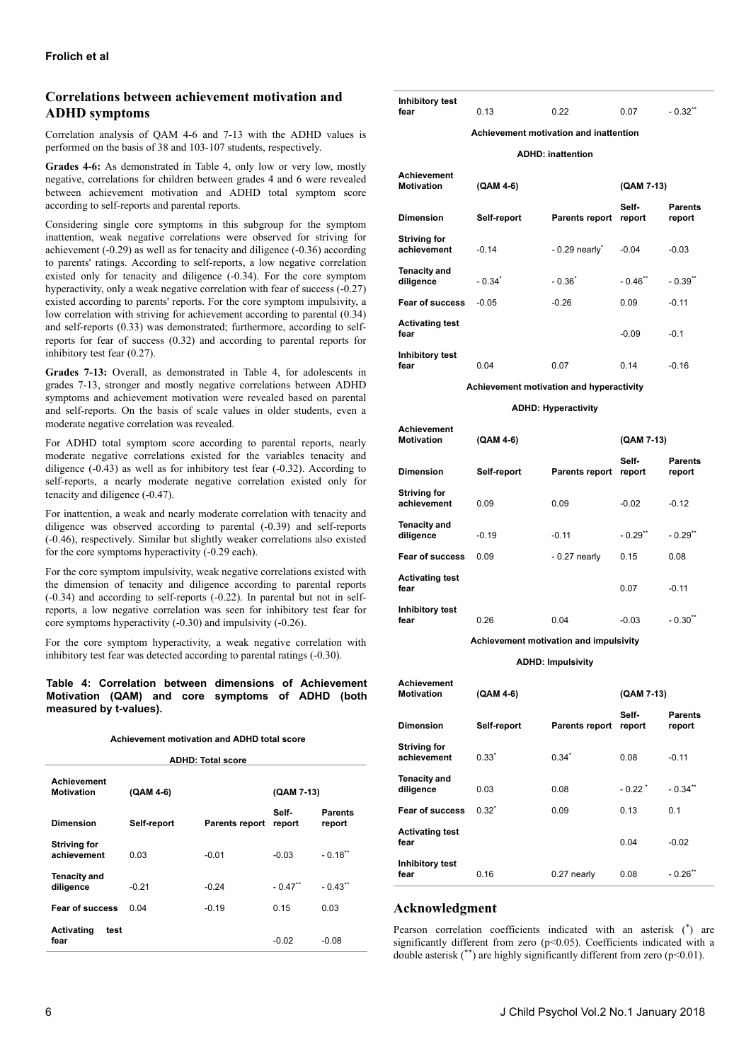## **Correlations between achievement motivation and ADHD symptoms**

Correlation analysis of QAM 4-6 and 7-13 with the ADHD values is performed on the basis of 38 and 103-107 students, respectively.

**Grades 4-6:** As demonstrated in Table 4, only low or very low, mostly negative, correlations for children between grades 4 and 6 were revealed between achievement motivation and ADHD total symptom score according to self-reports and parental reports.

Considering single core symptoms in this subgroup for the symptom inattention, weak negative correlations were observed for striving for achievement (-0.29) as well as for tenacity and diligence (-0.36) according to parents' ratings. According to self-reports, a low negative correlation existed only for tenacity and diligence (-0.34). For the core symptom hyperactivity, only a weak negative correlation with fear of success (-0.27) existed according to parents' reports. For the core symptom impulsivity, a low correlation with striving for achievement according to parental (0.34) and self-reports (0.33) was demonstrated; furthermore, according to selfreports for fear of success (0.32) and according to parental reports for inhibitory test fear (0.27).

**Grades 7-13:** Overall, as demonstrated in Table 4, for adolescents in grades 7-13, stronger and mostly negative correlations between ADHD symptoms and achievement motivation were revealed based on parental and self-reports. On the basis of scale values in older students, even a moderate negative correlation was revealed.

For ADHD total symptom score according to parental reports, nearly moderate negative correlations existed for the variables tenacity and diligence (-0.43) as well as for inhibitory test fear (-0.32). According to self-reports, a nearly moderate negative correlation existed only for tenacity and diligence (-0.47).

For inattention, a weak and nearly moderate correlation with tenacity and diligence was observed according to parental (-0.39) and self-reports (-0.46), respectively. Similar but slightly weaker correlations also existed for the core symptoms hyperactivity (-0.29 each).

For the core symptom impulsivity, weak negative correlations existed with the dimension of tenacity and diligence according to parental reports (-0.34) and according to self-reports (-0.22). In parental but not in selfreports, a low negative correlation was seen for inhibitory test fear for core symptoms hyperactivity (-0.30) and impulsivity (-0.26).

For the core symptom hyperactivity, a weak negative correlation with inhibitory test fear was detected according to parental ratings (-0.30).

#### **Table 4: Correlation between dimensions of Achievement Motivation (QAM) and core symptoms of ADHD (both measured by t-values).**

**Achievement motivation and ADHD total score**

| <b>ADHD: Total score</b>                |             |                       |                       |                          |  |  |
|-----------------------------------------|-------------|-----------------------|-----------------------|--------------------------|--|--|
| <b>Achievement</b><br><b>Motivation</b> | (QAM 4-6)   | (QAM 7-13)            |                       |                          |  |  |
| <b>Dimension</b>                        | Self-report | <b>Parents report</b> | Self-<br>report       | <b>Parents</b><br>report |  |  |
| <b>Striving for</b><br>achievement      | 0.03        | $-0.01$               | $-0.03$               | $-0.18$ **               |  |  |
| <b>Tenacity and</b><br>diligence        | $-0.21$     | $-0.24$               | $-0.47$ <sup>**</sup> | $-0.43$ **               |  |  |
| Fear of success                         | 0.04        | $-0.19$               | 0.15                  | 0.03                     |  |  |
| Activating<br>test<br>fear              |             |                       | $-0.02$               | $-0.08$                  |  |  |

| Inhibitory test<br>fear                 | 0.13                                   | 0.22                       | 0.07                  | $-0.32$                  |
|-----------------------------------------|----------------------------------------|----------------------------|-----------------------|--------------------------|
|                                         | Achievement motivation and inattention |                            |                       |                          |
|                                         |                                        | <b>ADHD: inattention</b>   |                       |                          |
| <b>Achievement</b><br><b>Motivation</b> | (QAM 4-6)                              | (QAM 7-13)                 |                       |                          |
| <b>Dimension</b>                        | Self-report                            | <b>Parents report</b>      | Self-<br>report       | <b>Parents</b><br>report |
| <b>Striving for</b><br>achievement      | $-0.14$                                | $-0.29$ nearly $\check{ }$ | $-0.04$               | $-0.03$                  |
| <b>Tenacity and</b><br>diligence        | $-0.34$ <sup>*</sup>                   | $-0.36^{*}$                | $-0.46$ <sup>**</sup> | $-0.39$ **               |
| Fear of success                         | $-0.05$                                | $-0.26$                    | 0.09                  | $-0.11$                  |
| <b>Activating test</b><br>fear          |                                        |                            | $-0.09$               | $-0.1$                   |
| Inhibitory test<br>fear                 | 0.04                                   | 0.07                       | 0.14                  | $-0.16$                  |

**Achievement motivation and hyperactivity**

#### **ADHD: Hyperactivity**

| <b>Achievement</b><br><b>Motivation</b> | (QAM 4-6)   |                       | (QAM 7-13)            |                          |
|-----------------------------------------|-------------|-----------------------|-----------------------|--------------------------|
| <b>Dimension</b>                        | Self-report | <b>Parents report</b> | Self-<br>report       | <b>Parents</b><br>report |
| <b>Striving for</b><br>achievement      | 0.09        | 0.09                  | $-0.02$               | $-0.12$                  |
| <b>Tenacity and</b><br>diligence        | $-0.19$     | $-0.11$               | $-0.29$ <sup>**</sup> | $-0.29^{n}$              |
| Fear of success                         | 0.09        | $-0.27$ nearly        | 0.15                  | 0.08                     |
| <b>Activating test</b><br>fear          |             |                       | 0.07                  | $-0.11$                  |
| <b>Inhibitory test</b><br>fear          | 0.26        | 0.04                  | $-0.03$               | - 0.30"                  |
|                                         |             |                       |                       |                          |

#### **Achievement motivation and impulsivity**

#### **ADHD: Impulsivity**

| <b>Achievement</b><br><b>Motivation</b> | (QAM 4-6)   |                       | (QAM 7-13)           |                          |
|-----------------------------------------|-------------|-----------------------|----------------------|--------------------------|
| <b>Dimension</b>                        | Self-report | <b>Parents report</b> | Self-<br>report      | <b>Parents</b><br>report |
| <b>Striving for</b><br>achievement      | $0.33^{*}$  | $0.34$ <sup>*</sup>   | 0.08                 | $-0.11$                  |
| <b>Tenacity and</b><br>diligence        | 0.03        | 0.08                  | $-0.22$ <sup>*</sup> | $-0.34$ **               |
| <b>Fear of success</b>                  | $0.32^*$    | 0.09                  | 0.13                 | 0.1                      |
| <b>Activating test</b><br>fear          |             |                       | 0.04                 | $-0.02$                  |
| <b>Inhibitory test</b><br>fear          | 0.16        | 0.27 nearly           | 0.08                 | $-0.26$                  |

#### **Acknowledgment**

Pearson correlation coefficients indicated with an asterisk (\*) are significantly different from zero (p<0.05). Coefficients indicated with a double asterisk (\*\*) are highly significantly different from zero ( $p<0.01$ ).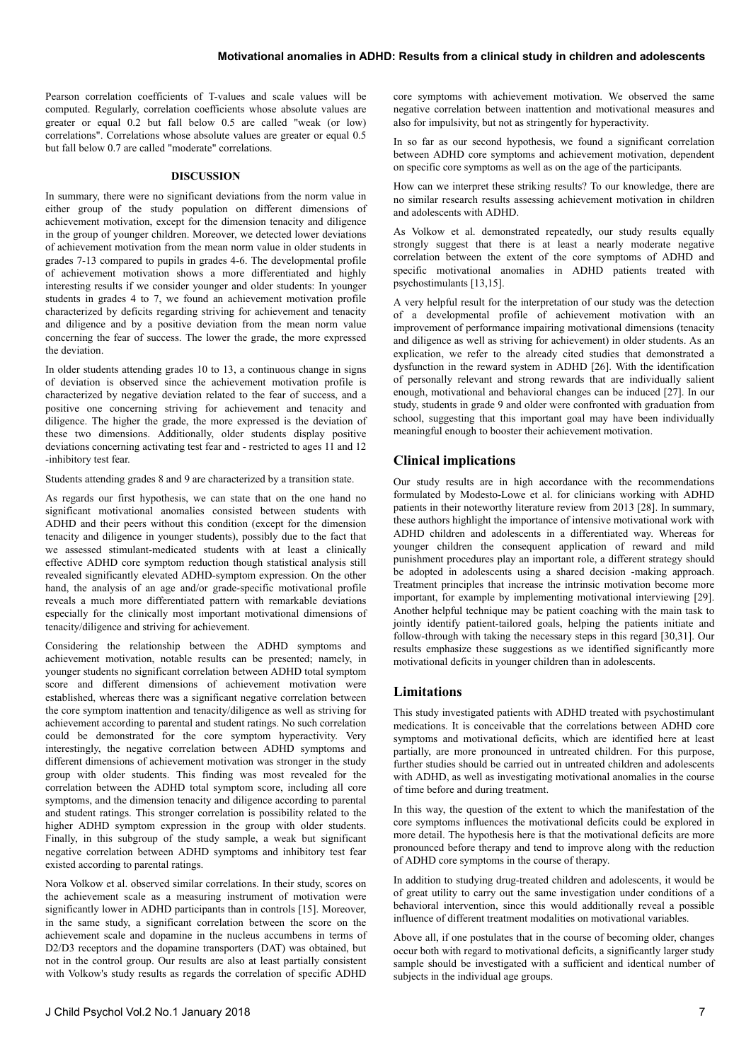#### **Motivational anomalies in ADHD: Results from a clinical study in children and adolescents**

Pearson correlation coefficients of T-values and scale values will be computed. Regularly, correlation coefficients whose absolute values are greater or equal 0.2 but fall below 0.5 are called "weak (or low) correlations". Correlations whose absolute values are greater or equal 0.5 but fall below 0.7 are called "moderate" correlations.

#### **DISCUSSION**

In summary, there were no significant deviations from the norm value in either group of the study population on different dimensions of achievement motivation, except for the dimension tenacity and diligence in the group of younger children. Moreover, we detected lower deviations of achievement motivation from the mean norm value in older students in grades 7-13 compared to pupils in grades 4-6. The developmental profile of achievement motivation shows a more differentiated and highly interesting results if we consider younger and older students: In younger students in grades 4 to 7, we found an achievement motivation profile characterized by deficits regarding striving for achievement and tenacity and diligence and by a positive deviation from the mean norm value concerning the fear of success. The lower the grade, the more expressed the deviation.

In older students attending grades 10 to 13, a continuous change in signs of deviation is observed since the achievement motivation profile is characterized by negative deviation related to the fear of success, and a positive one concerning striving for achievement and tenacity and diligence. The higher the grade, the more expressed is the deviation of these two dimensions. Additionally, older students display positive deviations concerning activating test fear and - restricted to ages 11 and 12 -inhibitory test fear.

Students attending grades 8 and 9 are characterized by a transition state.

As regards our first hypothesis, we can state that on the one hand no significant motivational anomalies consisted between students with ADHD and their peers without this condition (except for the dimension tenacity and diligence in younger students), possibly due to the fact that we assessed stimulant-medicated students with at least a clinically effective ADHD core symptom reduction though statistical analysis still revealed significantly elevated ADHD-symptom expression. On the other hand, the analysis of an age and/or grade-specific motivational profile reveals a much more differentiated pattern with remarkable deviations especially for the clinically most important motivational dimensions of tenacity/diligence and striving for achievement.

Considering the relationship between the ADHD symptoms and achievement motivation, notable results can be presented; namely, in younger students no significant correlation between ADHD total symptom score and different dimensions of achievement motivation were established, whereas there was a significant negative correlation between the core symptom inattention and tenacity/diligence as well as striving for achievement according to parental and student ratings. No such correlation could be demonstrated for the core symptom hyperactivity. Very interestingly, the negative correlation between ADHD symptoms and different dimensions of achievement motivation was stronger in the study group with older students. This finding was most revealed for the correlation between the ADHD total symptom score, including all core symptoms, and the dimension tenacity and diligence according to parental and student ratings. This stronger correlation is possibility related to the higher ADHD symptom expression in the group with older students. Finally, in this subgroup of the study sample, a weak but significant negative correlation between ADHD symptoms and inhibitory test fear existed according to parental ratings.

Nora Volkow et al. observed similar correlations. In their study, scores on the achievement scale as a measuring instrument of motivation were significantly lower in ADHD participants than in controls [15]. Moreover, in the same study, a significant correlation between the score on the achievement scale and dopamine in the nucleus accumbens in terms of D2/D3 receptors and the dopamine transporters (DAT) was obtained, but not in the control group. Our results are also at least partially consistent with Volkow's study results as regards the correlation of specific ADHD

core symptoms with achievement motivation. We observed the same negative correlation between inattention and motivational measures and also for impulsivity, but not as stringently for hyperactivity.

In so far as our second hypothesis, we found a significant correlation between ADHD core symptoms and achievement motivation, dependent on specific core symptoms as well as on the age of the participants.

How can we interpret these striking results? To our knowledge, there are no similar research results assessing achievement motivation in children and adolescents with ADHD.

As Volkow et al. demonstrated repeatedly, our study results equally strongly suggest that there is at least a nearly moderate negative correlation between the extent of the core symptoms of ADHD and specific motivational anomalies in ADHD patients treated with psychostimulants [13,15].

A very helpful result for the interpretation of our study was the detection of a developmental profile of achievement motivation with an improvement of performance impairing motivational dimensions (tenacity and diligence as well as striving for achievement) in older students. As an explication, we refer to the already cited studies that demonstrated a dysfunction in the reward system in ADHD [26]. With the identification of personally relevant and strong rewards that are individually salient enough, motivational and behavioral changes can be induced [27]. In our study, students in grade 9 and older were confronted with graduation from school, suggesting that this important goal may have been individually meaningful enough to booster their achievement motivation.

### **Clinical implications**

Our study results are in high accordance with the recommendations formulated by Modesto-Lowe et al. for clinicians working with ADHD patients in their noteworthy literature review from 2013 [28]. In summary, these authors highlight the importance of intensive motivational work with ADHD children and adolescents in a differentiated way. Whereas for younger children the consequent application of reward and mild punishment procedures play an important role, a different strategy should be adopted in adolescents using a shared decision -making approach. Treatment principles that increase the intrinsic motivation become more important, for example by implementing motivational interviewing [29]. Another helpful technique may be patient coaching with the main task to jointly identify patient-tailored goals, helping the patients initiate and follow-through with taking the necessary steps in this regard [30,31]. Our results emphasize these suggestions as we identified significantly more motivational deficits in younger children than in adolescents.

#### **Limitations**

This study investigated patients with ADHD treated with psychostimulant medications. It is conceivable that the correlations between ADHD core symptoms and motivational deficits, which are identified here at least partially, are more pronounced in untreated children. For this purpose, further studies should be carried out in untreated children and adolescents with ADHD, as well as investigating motivational anomalies in the course of time before and during treatment.

In this way, the question of the extent to which the manifestation of the core symptoms influences the motivational deficits could be explored in more detail. The hypothesis here is that the motivational deficits are more pronounced before therapy and tend to improve along with the reduction of ADHD core symptoms in the course of therapy.

In addition to studying drug-treated children and adolescents, it would be of great utility to carry out the same investigation under conditions of a behavioral intervention, since this would additionally reveal a possible influence of different treatment modalities on motivational variables.

Above all, if one postulates that in the course of becoming older, changes occur both with regard to motivational deficits, a significantly larger study sample should be investigated with a sufficient and identical number of subjects in the individual age groups.